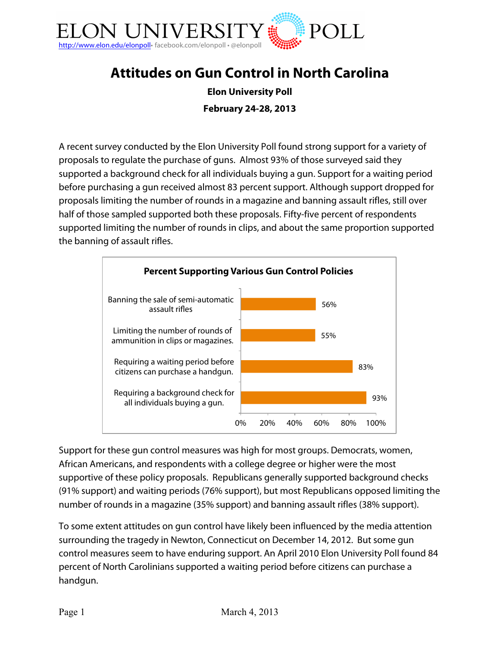

# **Attitudes on Gun Control in North Carolina**

**Elon University Poll February 24-28, 2013**

A recent survey conducted by the Elon University Poll found strong support for a variety of proposals to regulate the purchase of guns. Almost 93% of those surveyed said they supported a background check for all individuals buying a gun. Support for a waiting period before purchasing a gun received almost 83 percent support. Although support dropped for proposals limiting the number of rounds in a magazine and banning assault rifles, still over half of those sampled supported both these proposals. Fifty-five percent of respondents supported limiting the number of rounds in clips, and about the same proportion supported the banning of assault rifles.



Support for these gun control measures was high for most groups. Democrats, women, African Americans, and respondents with a college degree or higher were the most supportive of these policy proposals. Republicans generally supported background checks (91% support) and waiting periods (76% support), but most Republicans opposed limiting the number of rounds in a magazine (35% support) and banning assault rifles (38% support).

To some extent attitudes on gun control have likely been influenced by the media attention surrounding the tragedy in Newton, Connecticut on December 14, 2012. But some gun control measures seem to have enduring support. An April 2010 Elon University Poll found 84 percent of North Carolinians supported a waiting period before citizens can purchase a handgun.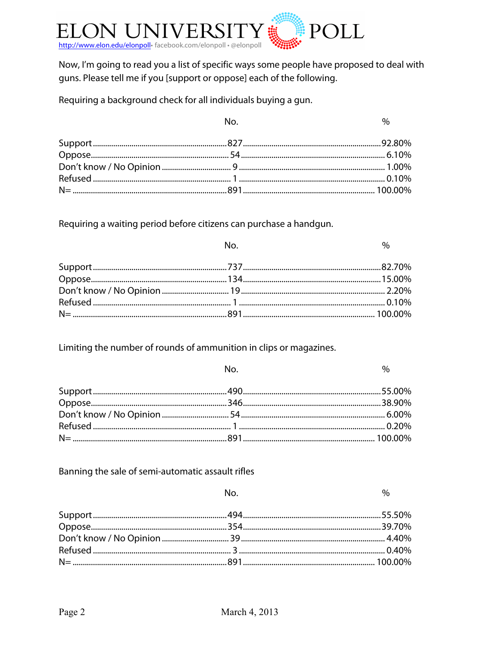

Now, I'm going to read you a list of specific ways some people have proposed to deal with guns. Please tell me if you [support or oppose] each of the following.

Requiring a background check for all individuals buying a gun.

| $N_{\Omega}$ | $\%$ |
|--------------|------|
|              |      |
|              |      |
|              |      |
|              |      |
|              |      |

Requiring a waiting period before citizens can purchase a handgun.

| No. | $\%$ |
|-----|------|
|     |      |
|     |      |
|     |      |
|     |      |
|     |      |

Limiting the number of rounds of ammunition in clips or magazines.

| <u>na matsayin Nobel a Nobel a Tanzania na matsayin na matsayin na matsayin na matsayin na matsayin na matsayin n</u> | $\%$ |  |
|-----------------------------------------------------------------------------------------------------------------------|------|--|
|                                                                                                                       |      |  |
|                                                                                                                       |      |  |
|                                                                                                                       |      |  |
|                                                                                                                       |      |  |
|                                                                                                                       |      |  |

#### Banning the sale of semi-automatic assault rifles

| No. | $\%$ |
|-----|------|
|     |      |
|     |      |
|     |      |
|     |      |
|     |      |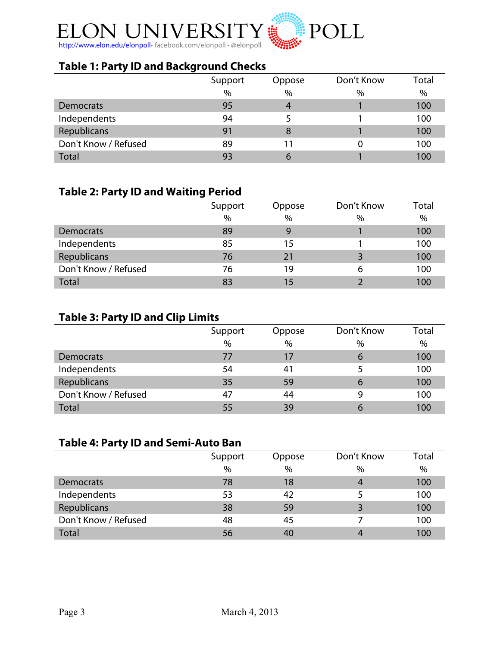

### **Table 1: Party ID and Background Checks**

|                      | Support       | Oppose        | Don't Know | Total |
|----------------------|---------------|---------------|------------|-------|
|                      | $\frac{0}{0}$ | $\frac{0}{0}$ | %          | %     |
| Democrats            | 95            | 4             |            | 100   |
| Independents         | 94            |               |            | 100   |
| Republicans          | 91            | 8             |            | 100   |
| Don't Know / Refused | 89            | 11            |            | 100   |
| <b>Total</b>         | 93            | 6             |            | 100   |

### **Table 2: Party ID and Waiting Period**

|                      | Support | Oppose | Don't Know | Total |
|----------------------|---------|--------|------------|-------|
|                      | $\%$    | $\%$   | $\%$       | $\%$  |
| Democrats            | 89      | 9      |            | 100   |
| Independents         | 85      | 15     |            | 100   |
| Republicans          | 76      | 21     |            | 100   |
| Don't Know / Refused | 76      | 19     | 6          | 100   |
| <b>Total</b>         | 83      | 15     |            | 100   |

# **Table 3: Party ID and Clip Limits**

|                      | Support | Oppose        | Don't Know | Total |
|----------------------|---------|---------------|------------|-------|
|                      | $\%$    | $\frac{0}{0}$ | $\%$       | %     |
| Democrats            | 77      | 17            | 6          | 100   |
| Independents         | 54      | 41            |            | 100   |
| Republicans          | 35      | 59            | b          | 100   |
| Don't Know / Refused | 47      | 44            | 9          | 100   |
| <b>Total</b>         | 55      | 39            | 6          | 100   |

### **Table 4: Party ID and Semi-Auto Ban**

|                      | Support       | Oppose | Don't Know | Total |
|----------------------|---------------|--------|------------|-------|
|                      | $\frac{0}{0}$ | $\%$   | $\%$       | $\%$  |
| Democrats            | 78            | 18     |            | 100   |
| Independents         | 53            | 42     |            | 100   |
| Republicans          | 38            | 59     |            | 100   |
| Don't Know / Refused | 48            | 45     |            | 100   |
| <b>Total</b>         | 56            | 40     |            | 100   |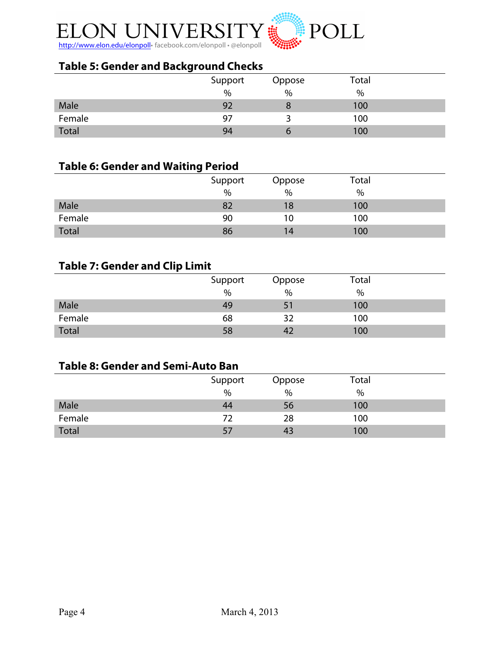

### **Table 5: Gender and Background Checks**

|              | Support | Oppose        | Total |  |
|--------------|---------|---------------|-------|--|
|              | $\%$    | $\frac{0}{0}$ | %     |  |
| Male         | 92      | O             | 100   |  |
| Female       | 97      |               | 100   |  |
| <b>Total</b> | 94      |               | 100   |  |

#### **Table 6: Gender and Waiting Period**

| -            |         |        |       |  |
|--------------|---------|--------|-------|--|
|              | Support | Oppose | Total |  |
|              | $\%$    | $\%$   | %     |  |
| Male         |         | 18     | 100   |  |
| Female       | 90      | 10     | 100   |  |
| <b>Total</b> | 86      | 14     | 100   |  |

### **Table 7: Gender and Clip Limit**

|              | Support<br>$\%$ | Oppose<br>$\frac{0}{0}$ | Total<br>% |  |
|--------------|-----------------|-------------------------|------------|--|
| Male         | 49              | 51                      | 100        |  |
| Female       | 68              | 32                      | 100        |  |
| <b>Total</b> | 58              | 42                      | 100        |  |

### **Table 8: Gender and Semi-Auto Ban**

|              | Support       | Oppose | Total |  |
|--------------|---------------|--------|-------|--|
|              | $\frac{0}{0}$ | $\%$   | $\%$  |  |
| Male         | 44            | 56     | 100   |  |
| Female       | -72           | 28     | 100   |  |
| <b>Total</b> | 57            | 43     | 100   |  |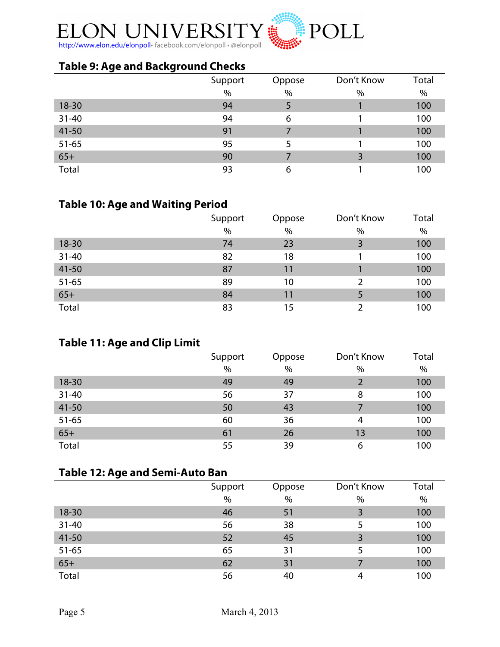

### **Table 9: Age and Background Checks**

|           | Support | Oppose | Don't Know | Total |
|-----------|---------|--------|------------|-------|
|           | $\%$    | $\%$   | %          | $\%$  |
| $18 - 30$ | 94      | 5      |            | 100   |
| $31 - 40$ | 94      | 6      |            | 100   |
| $41 - 50$ | 91      |        |            | 100   |
| $51 - 65$ | 95      | 5      |            | 100   |
| $65+$     | 90      |        |            | 100   |
| Total     | 93      | 6      |            | 100   |

### **Table 10: Age and Waiting Period**

|           | Support | Oppose | Don't Know | Total |
|-----------|---------|--------|------------|-------|
|           | $\%$    | $\%$   | %          | $\%$  |
| $18 - 30$ | 74      | 23     | 3          | 100   |
| $31 - 40$ | 82      | 18     |            | 100   |
| $41 - 50$ | 87      | 11     |            | 100   |
| $51 - 65$ | 89      | 10     | 2          | 100   |
| $65+$     | 84      | 11     |            | 100   |
| Total     | 83      | 15     |            | 100   |

### **Table 11: Age and Clip Limit**

| $\overline{\phantom{a}}$ | Support       | Oppose | Don't Know | Total |
|--------------------------|---------------|--------|------------|-------|
|                          | $\frac{0}{0}$ | $\%$   | $\%$       | $\%$  |
| $18 - 30$                | 49            | 49     |            | 100   |
| $31 - 40$                | 56            | 37     | 8          | 100   |
| 41-50                    | 50            | 43     |            | 100   |
| $51 - 65$                | 60            | 36     | 4          | 100   |
| $65+$                    | 61            | 26     | 13         | 100   |
| Total                    | 55            | 39     | 6          | 100   |

### **Table 12: Age and Semi-Auto Ban**

|           | Support       | Oppose | Don't Know | Total |
|-----------|---------------|--------|------------|-------|
|           | $\frac{0}{0}$ | $\%$   | %          | %     |
| $18 - 30$ | 46            | 51     |            | 100   |
| $31 - 40$ | 56            | 38     |            | 100   |
| $41 - 50$ | 52            | 45     | 3          | 100   |
| $51 - 65$ | 65            | 31     |            | 100   |
| $65+$     | 62            | 31     |            | 100   |
| Total     | 56            | 40     | 4          | 100   |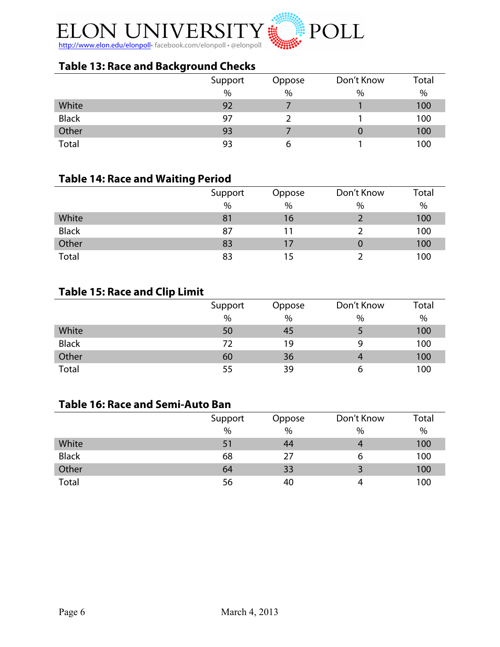

### **Table 13: Race and Background Checks**

|              | Support | Oppose | Don't Know | Total |
|--------------|---------|--------|------------|-------|
|              | $\%$    | $\%$   | %          | %     |
| White        | 92      |        |            | 100   |
| <b>Black</b> | 97      |        |            | 100   |
| Other        | 93      |        | U          | 100   |
| Total        | 93      | 6      |            | 100   |

#### **Table 14: Race and Waiting Period**

|              | Support | Oppose        | Don't Know | Total |
|--------------|---------|---------------|------------|-------|
|              | $\%$    | $\%$          | $\%$       | %     |
| White        | 81      | 16            |            | 100   |
| <b>Black</b> | 87      | 11            |            | 100   |
| Other        | 83      | $\frac{1}{2}$ | U          | 100   |
| Total        | 83      | 15            |            | 100   |

### **Table 15: Race and Clip Limit**

|              | Support | Oppose | Don't Know | Total |
|--------------|---------|--------|------------|-------|
|              | $\%$    | $\%$   | %          | $\%$  |
| White        | 50      | 45     |            | 100   |
| <b>Black</b> | 72      | 19     | q          | 100   |
| Other        | 60      | 36     | 4          | 100   |
| Total        | 55      | 39     | ь          | 100   |

### **Table 16: Race and Semi-Auto Ban**

|              | Support | Oppose | Don't Know | Total |
|--------------|---------|--------|------------|-------|
|              | $\%$    | $\%$   | %          | %     |
| White        | 51      | 44     | 4          | 100   |
| <b>Black</b> | 68      | 27     | 6          | 100   |
| Other        | 64      | 33     | 3          | 100   |
| Total        | 56      | 40     | 4          | 100   |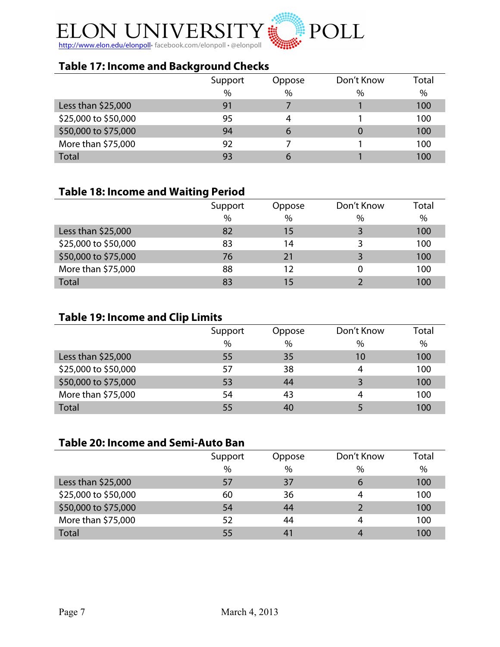

### **Table 17: Income and Background Checks**

|                      | Support | Oppose | Don't Know | Total |
|----------------------|---------|--------|------------|-------|
|                      | $\%$    | $\%$   | %          | %     |
| Less than $$25,000$  | 91      |        |            | 100   |
| \$25,000 to \$50,000 | 95      | 4      |            | 100   |
| \$50,000 to \$75,000 | 94      | 6      |            | 100   |
| More than \$75,000   | 92      |        |            | 100   |
| <b>Total</b>         | 93      | 6      |            | 100   |

#### **Table 18: Income and Waiting Period**

|                      | Support       | Oppose | Don't Know | Total |
|----------------------|---------------|--------|------------|-------|
|                      | $\frac{0}{0}$ | %      | $\%$       | $\%$  |
| Less than $$25,000$  | 82            | 15     |            | 100   |
| \$25,000 to \$50,000 | 83            | 14     |            | 100   |
| \$50,000 to \$75,000 | 76            | 21     |            | 100   |
| More than \$75,000   | 88            | 12     | 0          | 100   |
| <b>Total</b>         | 83            | 15     |            | 100   |

# **Table 19: Income and Clip Limits**

|                      | Support | Oppose | Don't Know | Total |
|----------------------|---------|--------|------------|-------|
|                      | $\%$    | $\%$   | $\%$       | %     |
| Less than \$25,000   | 55      | 35     | 10         | 100   |
| \$25,000 to \$50,000 | 57      | 38     | 4          | 100   |
| \$50,000 to \$75,000 | 53      | 44     |            | 100   |
| More than \$75,000   | 54      | 43     | 4          | 100   |
| <b>Total</b>         | 55      | 40     |            | 100   |

### **Table 20: Income and Semi-Auto Ban**

|                      | Support       | Oppose | Don't Know | Total |
|----------------------|---------------|--------|------------|-------|
|                      | $\frac{0}{0}$ | $\%$   | $\%$       | $\%$  |
| Less than $$25,000$  | 57            | 37     | 6          | 100   |
| \$25,000 to \$50,000 | 60            | 36     | 4          | 100   |
| \$50,000 to \$75,000 | 54            | 44     |            | 100   |
| More than \$75,000   | 52            | 44     | 4          | 100   |
| <b>Total</b>         | 55            | 41     |            | 100   |